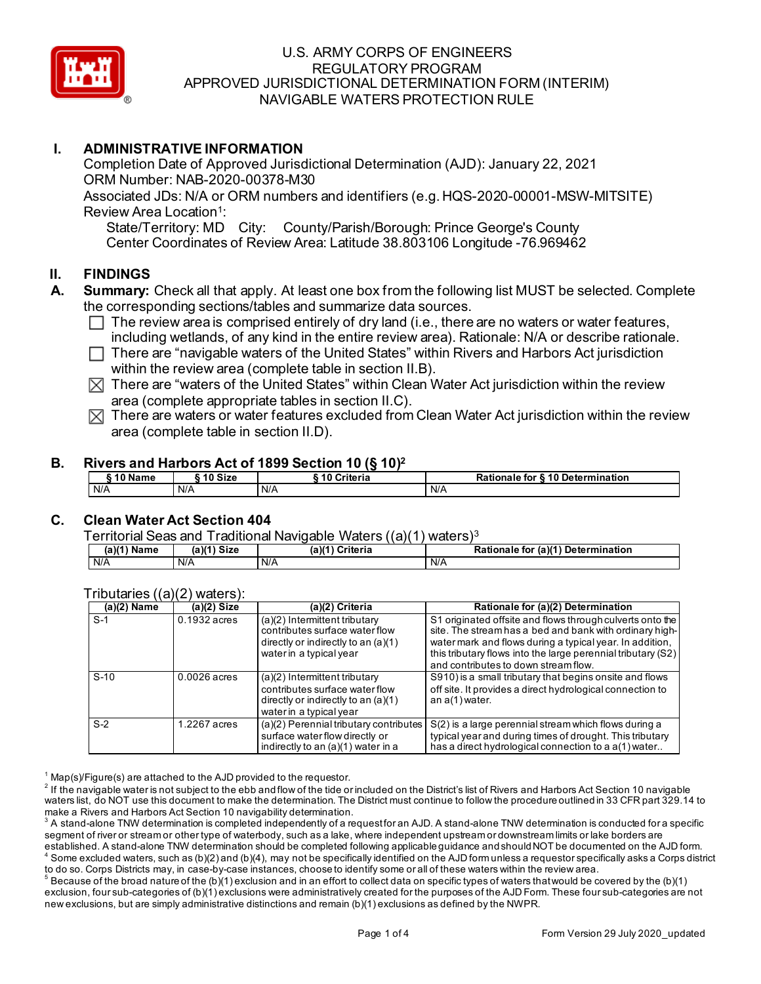

## **I. ADMINISTRATIVE INFORMATION**

Completion Date of Approved Jurisdictional Determination (AJD): January 22, 2021 ORM Number: NAB-2020-00378-M30 Associated JDs: N/A or ORM numbers and identifiers (e.g. HQS-2020-00001-MSW-MITSITE) Review Area Location<sup>1</sup>:

State/Territory: MD City: County/Parish/Borough: Prince George's County Center Coordinates of Review Area: Latitude 38.803106 Longitude -76.969462

### **II. FINDINGS**

- **A. Summary:** Check all that apply. At least one box from the following list MUST be selected. Complete the corresponding sections/tables and summarize data sources.
	- $\Box$  The review area is comprised entirely of dry land (i.e., there are no waters or water features, including wetlands, of any kind in the entire review area). Rationale: N/A or describe rationale.
	- $\Box$  There are "navigable waters of the United States" within Rivers and Harbors Act jurisdiction within the review area (complete table in section II.B).
	- $\boxtimes$  There are "waters of the United States" within Clean Water Act jurisdiction within the review area (complete appropriate tables in section II.C).
	- $\boxtimes$  There are waters or water features excluded from Clean Water Act jurisdiction within the review area (complete table in section II.D).

#### **B. Rivers and Harbors Act of 1899 Section 10 (§ 10)2**

| <b>A A AL</b><br>Name<br>ιu | 10 Size | Criteria | Rationale for §10 Determination |
|-----------------------------|---------|----------|---------------------------------|
| N/A                         | N/A     | N/A      | N/A                             |

## **C. Clean Water Act Section 404**

Territorial Seas and Traditional Navigable Waters ((a)(1) waters)3

| $(a)(1)$ Name | $(a)(1)$ Size | Criteria<br>(a)(1` | Rationale for (a)(1) Determination |
|---------------|---------------|--------------------|------------------------------------|
| N/A           | N/A           | N/A                | N/A                                |

|                    | $11 - 71 - 7$  |                                                                                                                                       |                                                                                                                                                                                                                                                                                          |
|--------------------|----------------|---------------------------------------------------------------------------------------------------------------------------------------|------------------------------------------------------------------------------------------------------------------------------------------------------------------------------------------------------------------------------------------------------------------------------------------|
| (a)(2) Name        | $(a)(2)$ Size  | (a)(2) Criteria                                                                                                                       | Rationale for (a)(2) Determination                                                                                                                                                                                                                                                       |
| $S-1$              | $0.1932$ acres | $(a)(2)$ Intermittent tributary<br>contributes surface water flow<br>directly or indirectly to an $(a)(1)$<br>water in a typical year | S1 originated offsite and flows through culverts onto the<br>site. The stream has a bed and bank with ordinary high-<br>water mark and flows during a typical year. In addition,<br>this tributary flows into the large perennial tributary (S2)<br>and contributes to down stream flow. |
| $S-10$             | $0.0026$ acres | $(a)(2)$ Intermittent tributary<br>contributes surface water flow<br>directly or indirectly to an $(a)(1)$<br>water in a typical year | S910) is a small tributary that begins onsite and flows<br>off site. It provides a direct hydrological connection to<br>an $a(1)$ water.                                                                                                                                                 |
| $\overline{S} - 2$ | 1.2267 acres   | (a)(2) Perennial tributary contributes<br>surface water flow directly or<br>indirectly to an (a)(1) water in a                        | S(2) is a large perennial stream which flows during a<br>typical year and during times of drought. This tributary<br>has a direct hydrological connection to a a(1) water                                                                                                                |

#### Tributaries ((a)(2) waters):

 $1$  Map(s)/Figure(s) are attached to the AJD provided to the requestor.

 $2$  If the navigable water is not subject to the ebb and flow of the tide or included on the District's list of Rivers and Harbors Act Section 10 navigable waters list, do NOT use this document to make the determination. The District must continue to follow the procedure outlined in 33 CFR part 329.14 to make a Rivers and Harbors Act Section 10 navigability determination.

 $^{\rm 3}$  A stand-alone TNW determination is completed independently of a request for an AJD. A stand-alone TNW determination is conducted for a specific segment of river or stream or other type of waterbody, such as a lake, where independent upstream or downstream limits or lake borders are established. A stand-alone TNW determination should be completed following applicable guidance and should NOT be documented on the AJD form.

 $^4$  Some excluded waters, such as (b)(2) and (b)(4), may not be specifically identified on the AJD form unless a requestor specifically asks a Corps district to do so. Corps Districts may, in case-by-case instances, choose to identify some or all of these waters within the review area.  $^5$  Because of the broad nature of the (b)(1) exclusion and in an effort to collect data on specific types of waters that would be covered by the (b)(1)

exclusion, four sub-categories of (b)(1) exclusions were administratively created for the purposes of the AJD Form. These four sub-categories are not new exclusions, but are simply administrative distinctions and remain (b)(1) exclusions as defined by the NWPR.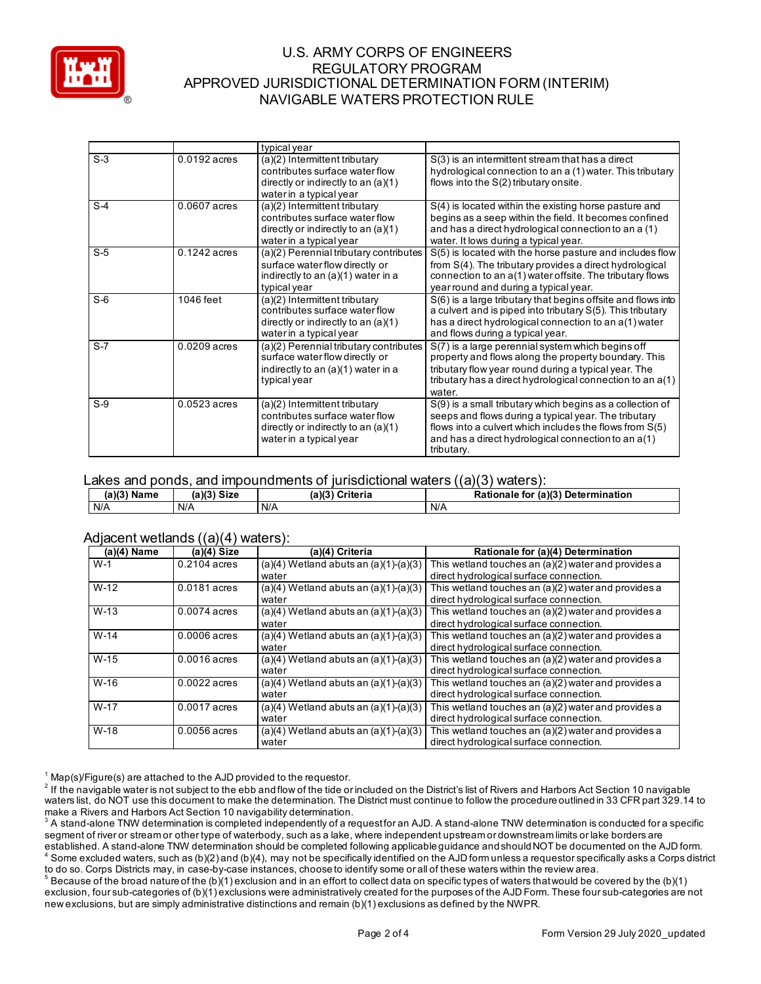

|       |                | typical year                                                             |                                                                                                                            |
|-------|----------------|--------------------------------------------------------------------------|----------------------------------------------------------------------------------------------------------------------------|
| $S-3$ | $0.0192$ acres | (a)(2) Intermittent tributary<br>contributes surface water flow          | S(3) is an intermittent stream that has a direct<br>hydrological connection to an a (1) water. This tributary              |
|       |                | directly or indirectly to an $(a)(1)$                                    | flows into the S(2) tributary onsite.                                                                                      |
|       |                | water in a typical year                                                  |                                                                                                                            |
| $S-4$ | $0.0607$ acres | (a)(2) Intermittent tributary                                            | S(4) is located within the existing horse pasture and                                                                      |
|       |                | contributes surface water flow<br>directly or indirectly to an $(a)(1)$  | begins as a seep within the field. It becomes confined<br>and has a direct hydrological connection to an a (1)             |
|       |                | water in a typical year                                                  | water. It lows during a typical year.                                                                                      |
| $S-5$ | $0.1242$ acres | (a)(2) Perennial tributary contributes                                   | S(5) is located with the horse pasture and includes flow                                                                   |
|       |                | surface water flow directly or<br>indirectly to an (a)(1) water in a     | from S(4). The tributary provides a direct hydrological<br>connection to an a(1) water offsite. The tributary flows        |
|       |                | typical year                                                             | year round and during a typical year.                                                                                      |
| $S-6$ | 1046 feet      | (a)(2) Intermittent tributary<br>contributes surface water flow          | S(6) is a large tributary that begins offsite and flows into<br>a culvert and is piped into tributary S(5). This tributary |
|       |                | directly or indirectly to an (a)(1)<br>water in a typical year           | has a direct hydrological connection to an a(1) water<br>and flows during a typical year.                                  |
| $S-7$ | $0.0209$ acres | (a)(2) Perennial tributary contributes<br>surface water flow directly or | S(7) is a large perennial system which begins off<br>property and flows along the property boundary. This                  |
|       |                | indirectly to an (a)(1) water in a                                       | tributary flow year round during a typical year. The                                                                       |
|       |                | typical year                                                             | tributary has a direct hydrological connection to an $a(1)$                                                                |
|       |                |                                                                          | water.                                                                                                                     |
| $S-9$ | $0.0523$ acres | (a)(2) Intermittent tributary<br>contributes surface water flow          | S(9) is a small tributary which begins as a collection of                                                                  |
|       |                |                                                                          | seeps and flows during a typical year. The tributary                                                                       |
|       |                | directly or indirectly to an $(a)(1)$<br>water in a typical year         | flows into a culvert which includes the flows from S(5)<br>and has a direct hydrological connection to an a(1)             |
|       |                |                                                                          | tributary.                                                                                                                 |

## Lakes and ponds, and impoundments of jurisdictional waters ((a)(3) waters):

| (a)(3) Name | Size   | (a)(3)   | (a)(3) Determination |
|-------------|--------|----------|----------------------|
|             | (a)(3) | Criteria | <b>Rationale for</b> |
| I N/A       | N/A    | N/A      | N/A                  |

#### Adjacent wetlands ((a)(4) waters):

| $(a)(4)$ Name | $\overline{\phantom{a}}$<br>$(a)(4)$ Size | (a)(4) Criteria                           | Rationale for (a)(4) Determination                    |
|---------------|-------------------------------------------|-------------------------------------------|-------------------------------------------------------|
| $W-1$         | $0.2104$ acres                            | $(a)(4)$ Wetland abuts an $(a)(1)-(a)(3)$ | This wetland touches an (a)(2) water and provides a   |
|               |                                           | water                                     | direct hydrological surface connection.               |
| $W-12$        | 0.0181 acres                              | $(a)(4)$ Wetland abuts an $(a)(1)-(a)(3)$ | This wetland touches an (a)(2) water and provides a   |
|               |                                           | water                                     | direct hydrological surface connection.               |
| $W-13$        | $0.0074$ acres                            | $(a)(4)$ Wetland abuts an $(a)(1)-(a)(3)$ | This wetland touches an $(a)(2)$ water and provides a |
|               |                                           | water                                     | direct hydrological surface connection.               |
| $W-14$        | $0.0006$ acres                            | $(a)(4)$ Wetland abuts an $(a)(1)-(a)(3)$ | This wetland touches an (a)(2) water and provides a   |
|               |                                           | water                                     | direct hydrological surface connection.               |
| $W-15$        | $0.0016$ acres                            | $(a)(4)$ Wetland abuts an $(a)(1)-(a)(3)$ | This wetland touches an (a)(2) water and provides a   |
|               |                                           | water                                     | direct hydrological surface connection.               |
| $W-16$        | $0.0022$ acres                            | $(a)(4)$ Wetland abuts an $(a)(1)-(a)(3)$ | This wetland touches an (a)(2) water and provides a   |
|               |                                           | water                                     | direct hydrological surface connection.               |
| $W-17$        | $0.0017$ acres                            | $(a)(4)$ Wetland abuts an $(a)(1)-(a)(3)$ | This wetland touches an (a)(2) water and provides a   |
|               |                                           | water                                     | direct hydrological surface connection.               |
| $W-18$        | $0.0056$ acres                            | $(a)(4)$ Wetland abuts an $(a)(1)-(a)(3)$ | This wetland touches an (a)(2) water and provides a   |
|               |                                           | water                                     | direct hydrological surface connection.               |

 $1$  Map(s)/Figure(s) are attached to the AJD provided to the requestor.

 $^2$  If the navigable water is not subject to the ebb and flow of the tide or included on the District's list of Rivers and Harbors Act Section 10 navigable waters list, do NOT use this document to make the determination. The District must continue to follow the procedure outlined in 33 CFR part 329.14 to make a Rivers and Harbors Act Section 10 navigability determination.

 $^{\rm 3}$  A stand-alone TNW determination is completed independently of a request for an AJD. A stand-alone TNW determination is conducted for a specific segment of river or stream or other type of waterbody, such as a lake, where independent upstream or downstream limits or lake borders are established. A stand-alone TNW determination should be completed following applicable guidance and should NOT be documented on the AJD form.  $^4$  Some excluded waters, such as (b)(2) and (b)(4), may not be specifically identified on the AJD form unless a requestor specifically asks a Corps district

to do so. Corps Districts may, in case-by-case instances, choose to identify some or all of these waters within the review area.  $^5$  Because of the broad nature of the (b)(1) exclusion and in an effort to collect data on specific types of waters that would be covered by the (b)(1) exclusion, four sub-categories of (b)(1) exclusions were administratively created for the purposes of the AJD Form. These four sub-categories are not new exclusions, but are simply administrative distinctions and remain (b)(1) exclusions as defined by the NWPR.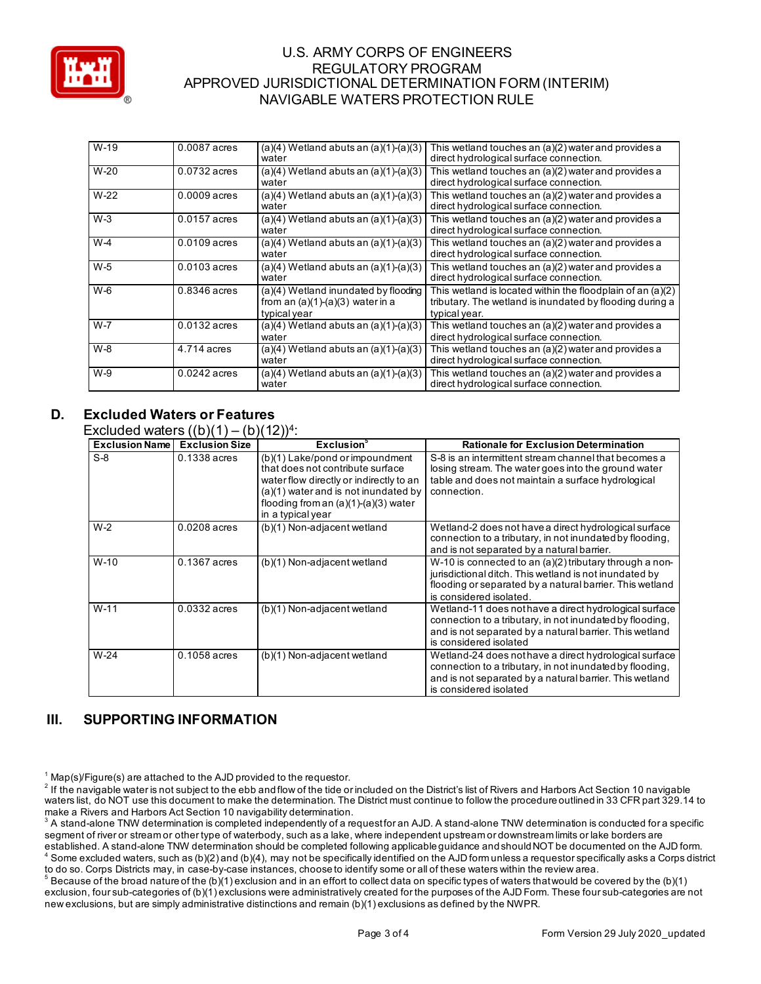

| $W-19$  | 0.0087 acres   | $(a)(4)$ Wetland abuts an $(a)(1)-(a)(3)$<br>water                                         | This wetland touches an (a)(2) water and provides a<br>direct hydrological surface connection.                                          |
|---------|----------------|--------------------------------------------------------------------------------------------|-----------------------------------------------------------------------------------------------------------------------------------------|
| $W-20$  | $0.0732$ acres | $(a)(4)$ Wetland abuts an $(a)(1)-(a)(3)$<br>water                                         | This wetland touches an (a)(2) water and provides a<br>direct hydrological surface connection.                                          |
| $W-22$  | $0.0009$ acres | $(a)(4)$ Wetland abuts an $(a)(1)-(a)(3)$<br>water                                         | This wetland touches an (a)(2) water and provides a<br>direct hydrological surface connection.                                          |
| $W-3$   | 0.0157 acres   | $(a)(4)$ Wetland abuts an $(a)(1)-(a)(3)$<br>water                                         | This wetland touches an (a)(2) water and provides a<br>direct hydrological surface connection.                                          |
| $W-4$   | $0.0109$ acres | $(a)(4)$ Wetland abuts an $(a)(1)-(a)(3)$<br>water                                         | This wetland touches an (a)(2) water and provides a<br>direct hydrological surface connection.                                          |
| W-5     | $0.0103$ acres | $\sqrt{(a)(4)$ Wetland abuts an $\sqrt{(a)(1)}$ - $\sqrt{(a)(3)}$<br>water                 | This wetland touches an (a)(2) water and provides a<br>direct hydrological surface connection.                                          |
| $W-6$   | $0.8346$ acres | (a)(4) Wetland inundated by flooding<br>from an $(a)(1)-(a)(3)$ water in a<br>typical year | This wetland is located within the floodplain of an (a)(2)<br>tributary. The wetland is inundated by flooding during a<br>typical year. |
| $W - 7$ | $0.0132$ acres | $(a)(4)$ Wetland abuts an $(a)(1)-(a)(3)$<br>water                                         | This wetland touches an (a)(2) water and provides a<br>direct hydrological surface connection.                                          |
| $W-8$   | 4.714 acres    | $(a)(4)$ Wetland abuts an $(a)(1)-(a)(3)$<br>water                                         | This wetland touches an (a)(2) water and provides a<br>direct hydrological surface connection.                                          |
| $W-9$   | $0.0242$ acres | $(a)(4)$ Wetland abuts an $(a)(1)-(a)(3)$<br>water                                         | This wetland touches an (a)(2) water and provides a<br>direct hydrological surface connection.                                          |

# **D. Excluded Waters or Features**

Excluded waters  $((b)(1) - (b)(12))^4$ :

| <b>Exclusion Name</b> | <b>Exclusion Size</b> | <b>Exclusion</b> <sup>5</sup>                                                                                                                                                                                         | <b>Rationale for Exclusion Determination</b>                                                                                                                                                             |
|-----------------------|-----------------------|-----------------------------------------------------------------------------------------------------------------------------------------------------------------------------------------------------------------------|----------------------------------------------------------------------------------------------------------------------------------------------------------------------------------------------------------|
| $S-8$                 | $0.1338$ acres        | (b)(1) Lake/pond or impoundment<br>that does not contribute surface<br>water flow directly or indirectly to an<br>(a)(1) water and is not inundated by<br>flooding from an $(a)(1)-(a)(3)$ water<br>in a typical year | S-8 is an intermittent stream channel that becomes a<br>losing stream. The water goes into the ground water<br>table and does not maintain a surface hydrological<br>connection.                         |
| $W-2$                 | $0.0208$ acres        | (b)(1) Non-adjacent wetland                                                                                                                                                                                           | Wetland-2 does not have a direct hydrological surface<br>connection to a tributary, in not inundated by flooding,<br>and is not separated by a natural barrier.                                          |
| $W-10$                | 0.1367 acres          | (b)(1) Non-adjacent wetland                                                                                                                                                                                           | W-10 is connected to an (a)(2) tributary through a non-<br>jurisdictional ditch. This wetland is not inundated by<br>flooding or separated by a natural barrier. This wetland<br>is considered isolated. |
| $W-11$                | 0.0332 acres          | (b)(1) Non-adjacent wetland                                                                                                                                                                                           | Wetland-11 does not have a direct hydrological surface<br>connection to a tributary, in not inundated by flooding,<br>and is not separated by a natural barrier. This wetland<br>is considered isolated  |
| $W-24$                | $0.1058$ acres        | (b)(1) Non-adjacent wetland                                                                                                                                                                                           | Wetland-24 does not have a direct hydrological surface<br>connection to a tributary, in not inundated by flooding,<br>and is not separated by a natural barrier. This wetland<br>is considered isolated  |

# **III. SUPPORTING INFORMATION**

 $^5$  Because of the broad nature of the (b)(1) exclusion and in an effort to collect data on specific types of waters that would be covered by the (b)(1) exclusion, four sub-categories of (b)(1) exclusions were administratively created for the purposes of the AJD Form. These four sub-categories are not new exclusions, but are simply administrative distinctions and remain (b)(1) exclusions as defined by the NWPR.

 $1$  Map(s)/Figure(s) are attached to the AJD provided to the requestor.

 $^2$  If the navigable water is not subject to the ebb and flow of the tide or included on the District's list of Rivers and Harbors Act Section 10 navigable waters list, do NOT use this document to make the determination. The District must continue to follow the procedure outlined in 33 CFR part 329.14 to make a Rivers and Harbors Act Section 10 navigability determination.

 $^{\rm 3}$  A stand-alone TNW determination is completed independently of a request for an AJD. A stand-alone TNW determination is conducted for a specific segment of river or stream or other type of waterbody, such as a lake, where independent upstream or downstream limits or lake borders are established. A stand-alone TNW determination should be completed following applicable guidance and should NOT be documented on the AJD form.

 $^4$  Some excluded waters, such as (b)(2) and (b)(4), may not be specifically identified on the AJD form unless a requestor specifically asks a Corps district to do so. Corps Districts may, in case-by-case instances, choose to identify some or all of these waters within the review area.